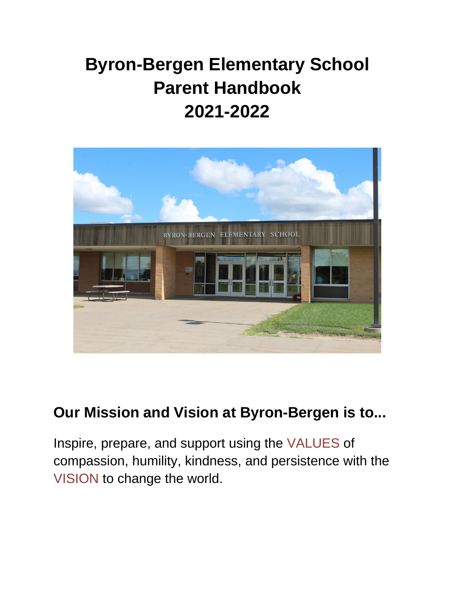# **Byron-Bergen Elementary School Parent Handbook 2021-2022**



# **Our Mission and Vision at Byron-Bergen is to...**

Inspire, prepare, and support using the VALUES of compassion, humility, kindness, and persistence with the VISION to change the world.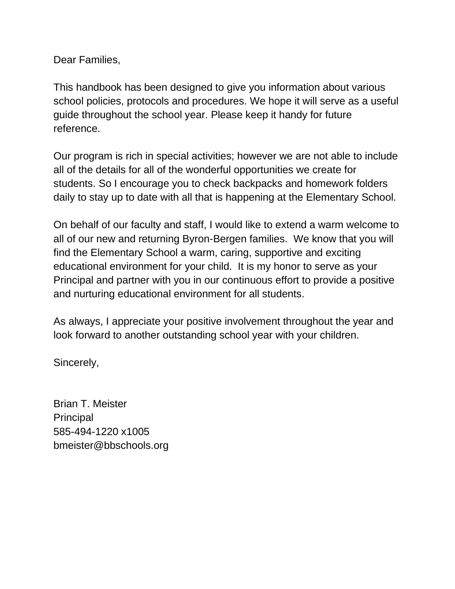Dear Families,

This handbook has been designed to give you information about various school policies, protocols and procedures. We hope it will serve as a useful guide throughout the school year. Please keep it handy for future reference.

Our program is rich in special activities; however we are not able to include all of the details for all of the wonderful opportunities we create for students. So I encourage you to check backpacks and homework folders daily to stay up to date with all that is happening at the Elementary School.

On behalf of our faculty and staff, I would like to extend a warm welcome to all of our new and returning Byron-Bergen families. We know that you will find the Elementary School a warm, caring, supportive and exciting educational environment for your child. It is my honor to serve as your Principal and partner with you in our continuous effort to provide a positive and nurturing educational environment for all students.

As always, I appreciate your positive involvement throughout the year and look forward to another outstanding school year with your children.

Sincerely,

Brian T. Meister **Principal** 585-494-1220 x1005 bmeister@bbschools.org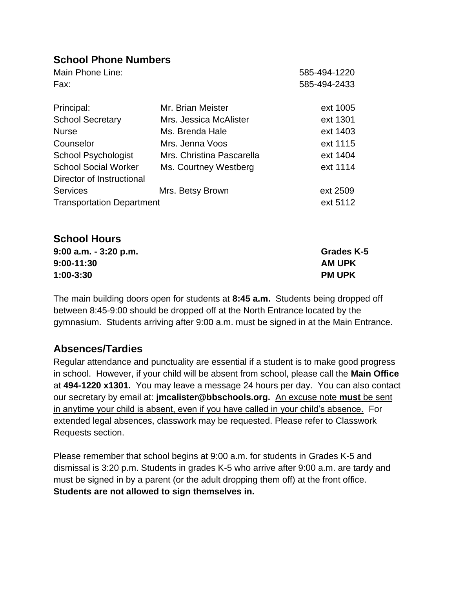# **School Phone Numbers**

| Main Phone Line:                 |                           | 585-494-1220 |
|----------------------------------|---------------------------|--------------|
| Fax:                             |                           | 585-494-2433 |
| Principal:                       | Mr. Brian Meister         | ext 1005     |
| <b>School Secretary</b>          | Mrs. Jessica McAlister    | ext 1301     |
| <b>Nurse</b>                     | Ms. Brenda Hale           | ext 1403     |
| Counselor                        | Mrs. Jenna Voos           | ext 1115     |
| <b>School Psychologist</b>       | Mrs. Christina Pascarella | ext 1404     |
| <b>School Social Worker</b>      | Ms. Courtney Westberg     | ext 1114     |
| Director of Instructional        |                           |              |
| <b>Services</b>                  | Mrs. Betsy Brown          | ext 2509     |
| <b>Transportation Department</b> |                           | ext 5112     |
|                                  |                           |              |
|                                  |                           |              |

| <b>Grades K-5</b> |
|-------------------|
| <b>AM UPK</b>     |
| <b>PM UPK</b>     |
|                   |

The main building doors open for students at **8:45 a.m.** Students being dropped off between 8:45-9:00 should be dropped off at the North Entrance located by the gymnasium. Students arriving after 9:00 a.m. must be signed in at the Main Entrance.

# **Absences/Tardies**

**School Hours** 

Regular attendance and punctuality are essential if a student is to make good progress in school. However, if your child will be absent from school, please call the **Main Office**  at **494-1220 x1301.** You may leave a message 24 hours per day. You can also contact our secretary by email at: **jmcalister@bbschools.org.** An excuse note **must** be sent in anytime your child is absent, even if you have called in your child's absence. For extended legal absences, classwork may be requested. Please refer to Classwork Requests section.

Please remember that school begins at 9:00 a.m. for students in Grades K-5 and dismissal is 3:20 p.m. Students in grades K-5 who arrive after 9:00 a.m. are tardy and must be signed in by a parent (or the adult dropping them off) at the front office. **Students are not allowed to sign themselves in.**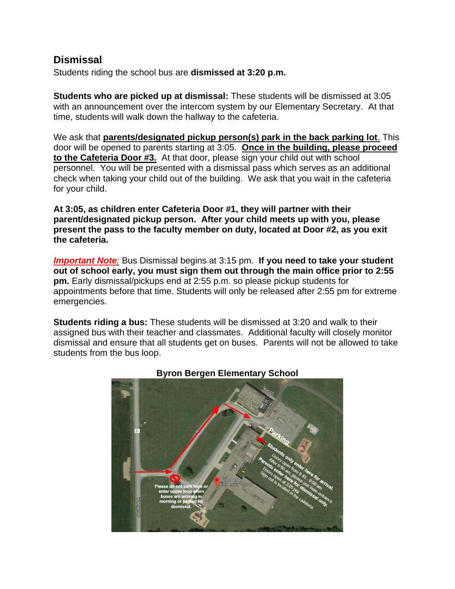# **Dismissal**

Students riding the school bus are **dismissed at 3:20 p.m.** 

**Students who are picked up at dismissal:** These students will be dismissed at 3:05 with an announcement over the intercom system by our Elementary Secretary. At that time, students will walk down the hallway to the cafeteria.

We ask that **parents/designated pickup person(s) park in the back parking lot**. This door will be opened to parents starting at 3:05. **Once in the building, please proceed to the Cafeteria Door #3.** At that door, please sign your child out with school personnel. You will be presented with a dismissal pass which serves as an additional check when taking your child out of the building. We ask that you wait in the cafeteria for your child.

**At 3:05, as children enter Cafeteria Door #1, they will partner with their parent/designated pickup person. After your child meets up with you, please present the pass to the faculty member on duty, located at Door #2, as you exit the cafeteria.**

*Important Note:* Bus Dismissal begins at 3:15 pm. **If you need to take your student out of school early, you must sign them out through the main office prior to 2:55 pm.** Early dismissal/pickups end at 2:55 p.m. so please pickup students for appointments before that time. Students will only be released after 2:55 pm for extreme emergencies.

**Students riding a bus:** These students will be dismissed at 3:20 and walk to their assigned bus with their teacher and classmates. Additional faculty will closely monitor dismissal and ensure that all students get on buses. Parents will not be allowed to take students from the bus loop.



**Byron Bergen Elementary School**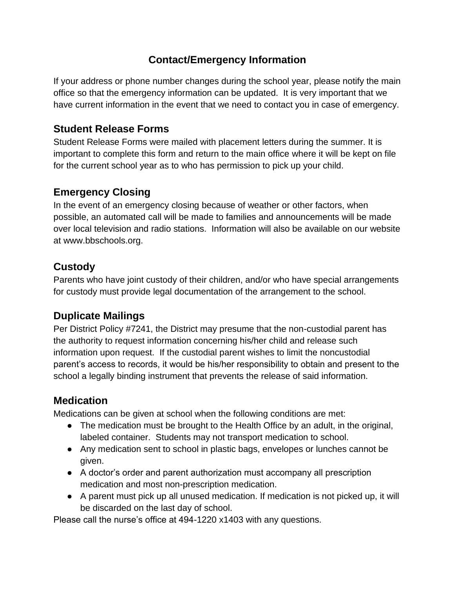# **Contact/Emergency Information**

If your address or phone number changes during the school year, please notify the main office so that the emergency information can be updated. It is very important that we have current information in the event that we need to contact you in case of emergency.

# **Student Release Forms**

Student Release Forms were mailed with placement letters during the summer. It is important to complete this form and return to the main office where it will be kept on file for the current school year as to who has permission to pick up your child.

# **Emergency Closing**

In the event of an emergency closing because of weather or other factors, when possible, an automated call will be made to families and announcements will be made over local television and radio stations. Information will also be available on our website at www.bbschools.org.

# **Custody**

Parents who have joint custody of their children, and/or who have special arrangements for custody must provide legal documentation of the arrangement to the school.

# **Duplicate Mailings**

Per District Policy #7241, the District may presume that the non-custodial parent has the authority to request information concerning his/her child and release such information upon request. If the custodial parent wishes to limit the noncustodial parent's access to records, it would be his/her responsibility to obtain and present to the school a legally binding instrument that prevents the release of said information.

# **Medication**

Medications can be given at school when the following conditions are met:

- The medication must be brought to the Health Office by an adult, in the original, labeled container. Students may not transport medication to school.
- Any medication sent to school in plastic bags, envelopes or lunches cannot be given.
- A doctor's order and parent authorization must accompany all prescription medication and most non-prescription medication.
- A parent must pick up all unused medication. If medication is not picked up, it will be discarded on the last day of school.

Please call the nurse's office at 494-1220 x1403 with any questions.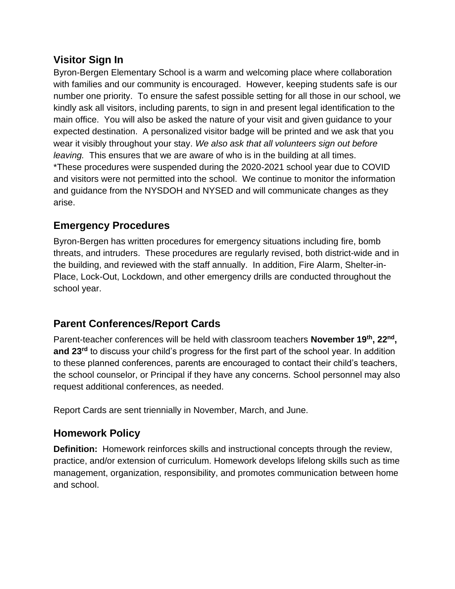# **Visitor Sign In**

Byron-Bergen Elementary School is a warm and welcoming place where collaboration with families and our community is encouraged. However, keeping students safe is our number one priority. To ensure the safest possible setting for all those in our school, we kindly ask all visitors, including parents, to sign in and present legal identification to the main office. You will also be asked the nature of your visit and given guidance to your expected destination. A personalized visitor badge will be printed and we ask that you wear it visibly throughout your stay. *We also ask that all volunteers sign out before leaving.* This ensures that we are aware of who is in the building at all times. \*These procedures were suspended during the 2020-2021 school year due to COVID and visitors were not permitted into the school. We continue to monitor the information and guidance from the NYSDOH and NYSED and will communicate changes as they arise.

# **Emergency Procedures**

Byron-Bergen has written procedures for emergency situations including fire, bomb threats, and intruders. These procedures are regularly revised, both district-wide and in the building, and reviewed with the staff annually. In addition, Fire Alarm, Shelter-in-Place, Lock-Out, Lockdown, and other emergency drills are conducted throughout the school year.

# **Parent Conferences/Report Cards**

Parent-teacher conferences will be held with classroom teachers **November 19th, 22nd , and 23rd** to discuss your child's progress for the first part of the school year. In addition to these planned conferences, parents are encouraged to contact their child's teachers, the school counselor, or Principal if they have any concerns. School personnel may also request additional conferences, as needed.

Report Cards are sent triennially in November, March, and June.

# **Homework Policy**

**Definition:** Homework reinforces skills and instructional concepts through the review, practice, and/or extension of curriculum. Homework develops lifelong skills such as time management, organization, responsibility, and promotes communication between home and school.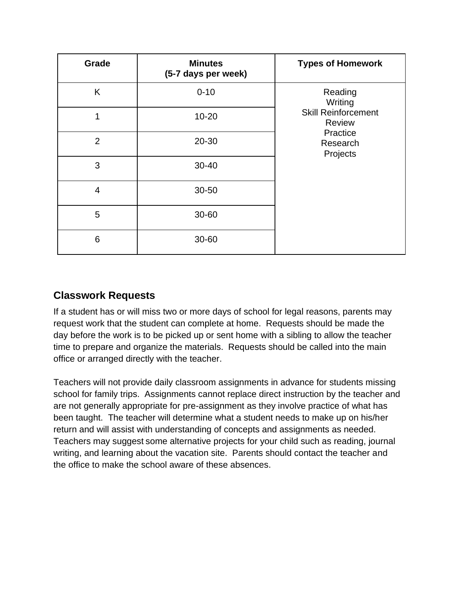| Grade          | <b>Minutes</b><br>(5-7 days per week) | <b>Types of Homework</b>                                                                              |
|----------------|---------------------------------------|-------------------------------------------------------------------------------------------------------|
| K              | $0 - 10$                              | Reading<br>Writing<br><b>Skill Reinforcement</b><br><b>Review</b><br>Practice<br>Research<br>Projects |
| 1              | $10 - 20$                             |                                                                                                       |
| $\overline{2}$ | 20-30                                 |                                                                                                       |
| 3              | $30 - 40$                             |                                                                                                       |
| $\overline{4}$ | 30-50                                 |                                                                                                       |
| 5              | 30-60                                 |                                                                                                       |
| 6              | 30-60                                 |                                                                                                       |

# **Classwork Requests**

If a student has or will miss two or more days of school for legal reasons, parents may request work that the student can complete at home. Requests should be made the day before the work is to be picked up or sent home with a sibling to allow the teacher time to prepare and organize the materials. Requests should be called into the main office or arranged directly with the teacher.

Teachers will not provide daily classroom assignments in advance for students missing school for family trips. Assignments cannot replace direct instruction by the teacher and are not generally appropriate for pre-assignment as they involve practice of what has been taught. The teacher will determine what a student needs to make up on his/her return and will assist with understanding of concepts and assignments as needed. Teachers may suggest some alternative projects for your child such as reading, journal writing, and learning about the vacation site. Parents should contact the teacher and the office to make the school aware of these absences.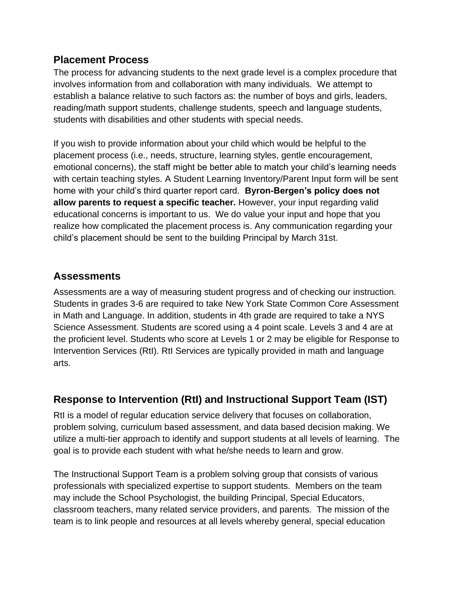# **Placement Process**

The process for advancing students to the next grade level is a complex procedure that involves information from and collaboration with many individuals. We attempt to establish a balance relative to such factors as: the number of boys and girls, leaders, reading/math support students, challenge students, speech and language students, students with disabilities and other students with special needs.

If you wish to provide information about your child which would be helpful to the placement process (i.e., needs, structure, learning styles, gentle encouragement, emotional concerns), the staff might be better able to match your child's learning needs with certain teaching styles. A Student Learning Inventory/Parent Input form will be sent home with your child's third quarter report card. **Byron-Bergen's policy does not allow parents to request a specific teacher.** However, your input regarding valid educational concerns is important to us. We do value your input and hope that you realize how complicated the placement process is. Any communication regarding your child's placement should be sent to the building Principal by March 31st.

# **Assessments**

Assessments are a way of measuring student progress and of checking our instruction. Students in grades 3-6 are required to take New York State Common Core Assessment in Math and Language. In addition, students in 4th grade are required to take a NYS Science Assessment. Students are scored using a 4 point scale. Levels 3 and 4 are at the proficient level. Students who score at Levels 1 or 2 may be eligible for Response to Intervention Services (RtI). RtI Services are typically provided in math and language arts.

# **Response to Intervention (RtI) and Instructional Support Team (IST)**

RtI is a model of regular education service delivery that focuses on collaboration, problem solving, curriculum based assessment, and data based decision making. We utilize a multi-tier approach to identify and support students at all levels of learning. The goal is to provide each student with what he/she needs to learn and grow.

The Instructional Support Team is a problem solving group that consists of various professionals with specialized expertise to support students. Members on the team may include the School Psychologist, the building Principal, Special Educators, classroom teachers, many related service providers, and parents. The mission of the team is to link people and resources at all levels whereby general, special education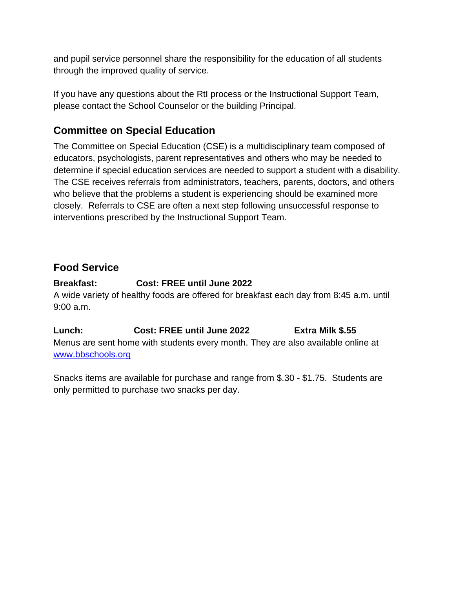and pupil service personnel share the responsibility for the education of all students through the improved quality of service.

If you have any questions about the RtI process or the Instructional Support Team, please contact the School Counselor or the building Principal.

# **Committee on Special Education**

The Committee on Special Education (CSE) is a multidisciplinary team composed of educators, psychologists, parent representatives and others who may be needed to determine if special education services are needed to support a student with a disability. The CSE receives referrals from administrators, teachers, parents, doctors, and others who believe that the problems a student is experiencing should be examined more closely. Referrals to CSE are often a next step following unsuccessful response to interventions prescribed by the Instructional Support Team.

# **Food Service**

#### **Breakfast: Cost: FREE until June 2022**

A wide variety of healthy foods are offered for breakfast each day from 8:45 a.m. until 9:00 a.m.

**Lunch: Cost: FREE until June 2022 Extra Milk \$.55** Menus are sent home with students every month. They are also available online at [www.bbschools.org](http://www.bbschools.org/)

Snacks items are available for purchase and range from \$.30 - \$1.75. Students are only permitted to purchase two snacks per day.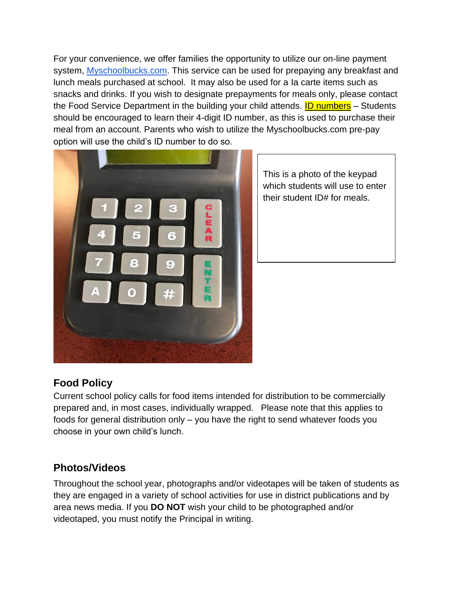For your convenience, we offer families the opportunity to utilize our on-line payment system, [Myschoolbucks.com.](https://www.myschoolbucks.com/) This service can be used for prepaying any breakfast and lunch meals purchased at school. It may also be used for a Ia carte items such as snacks and drinks. If you wish to designate prepayments for meals only, please contact the Food Service Department in the building your child attends. **ID numbers** – Students should be encouraged to learn their 4-digit ID number, as this is used to purchase their meal from an account. Parents who wish to utilize the Myschoolbucks.com pre-pay option will use the child's ID number to do so.



This is a photo of the keypad which students will use to enter their student ID# for meals.

# **Food Policy**

Current school policy calls for food items intended for distribution to be commercially prepared and, in most cases, individually wrapped. Please note that this applies to foods for general distribution only – you have the right to send whatever foods you choose in your own child's lunch.

#### **Photos/Videos**

Throughout the school year, photographs and/or videotapes will be taken of students as they are engaged in a variety of school activities for use in district publications and by area news media. If you **DO NOT** wish your child to be photographed and/or videotaped, you must notify the Principal in writing.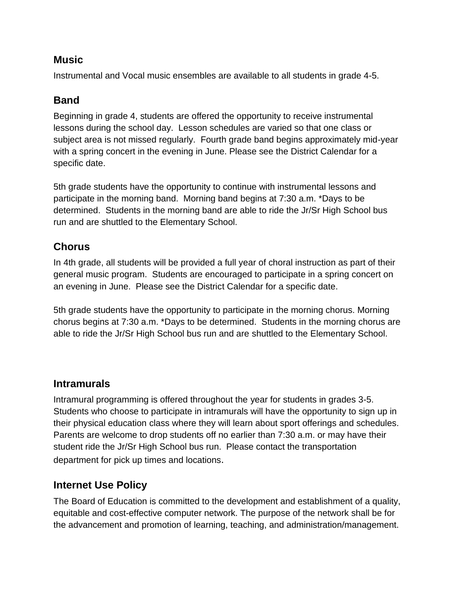#### **Music**

Instrumental and Vocal music ensembles are available to all students in grade 4-5.

#### **Band**

Beginning in grade 4, students are offered the opportunity to receive instrumental lessons during the school day. Lesson schedules are varied so that one class or subject area is not missed regularly. Fourth grade band begins approximately mid-year with a spring concert in the evening in June. Please see the District Calendar for a specific date.

5th grade students have the opportunity to continue with instrumental lessons and participate in the morning band. Morning band begins at 7:30 a.m. \*Days to be determined. Students in the morning band are able to ride the Jr/Sr High School bus run and are shuttled to the Elementary School.

# **Chorus**

In 4th grade, all students will be provided a full year of choral instruction as part of their general music program. Students are encouraged to participate in a spring concert on an evening in June. Please see the District Calendar for a specific date.

5th grade students have the opportunity to participate in the morning chorus. Morning chorus begins at 7:30 a.m. \*Days to be determined. Students in the morning chorus are able to ride the Jr/Sr High School bus run and are shuttled to the Elementary School.

# **Intramurals**

Intramural programming is offered throughout the year for students in grades 3-5. Students who choose to participate in intramurals will have the opportunity to sign up in their physical education class where they will learn about sport offerings and schedules. Parents are welcome to drop students off no earlier than 7:30 a.m. or may have their student ride the Jr/Sr High School bus run. Please contact the transportation department for pick up times and locations.

# **Internet Use Policy**

The Board of Education is committed to the development and establishment of a quality, equitable and cost-effective computer network. The purpose of the network shall be for the advancement and promotion of learning, teaching, and administration/management.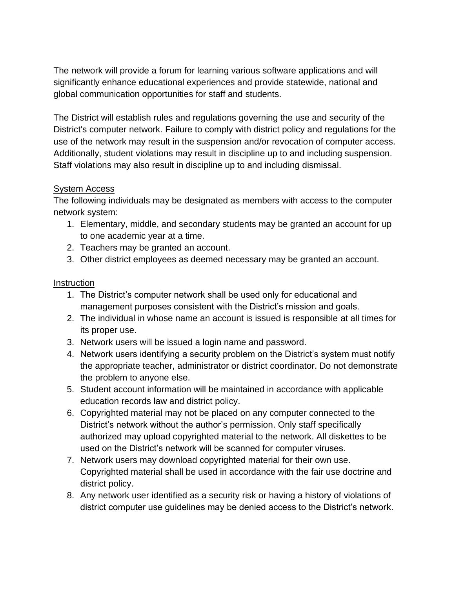The network will provide a forum for learning various software applications and will significantly enhance educational experiences and provide statewide, national and global communication opportunities for staff and students.

The District will establish rules and regulations governing the use and security of the District's computer network. Failure to comply with district policy and regulations for the use of the network may result in the suspension and/or revocation of computer access. Additionally, student violations may result in discipline up to and including suspension. Staff violations may also result in discipline up to and including dismissal.

#### System Access

The following individuals may be designated as members with access to the computer network system:

- 1. Elementary, middle, and secondary students may be granted an account for up to one academic year at a time.
- 2. Teachers may be granted an account.
- 3. Other district employees as deemed necessary may be granted an account.

#### **Instruction**

- 1. The District's computer network shall be used only for educational and management purposes consistent with the District's mission and goals.
- 2. The individual in whose name an account is issued is responsible at all times for its proper use.
- 3. Network users will be issued a login name and password.
- 4. Network users identifying a security problem on the District's system must notify the appropriate teacher, administrator or district coordinator. Do not demonstrate the problem to anyone else.
- 5. Student account information will be maintained in accordance with applicable education records law and district policy.
- 6. Copyrighted material may not be placed on any computer connected to the District's network without the author's permission. Only staff specifically authorized may upload copyrighted material to the network. All diskettes to be used on the District's network will be scanned for computer viruses.
- 7. Network users may download copyrighted material for their own use. Copyrighted material shall be used in accordance with the fair use doctrine and district policy.
- 8. Any network user identified as a security risk or having a history of violations of district computer use guidelines may be denied access to the District's network.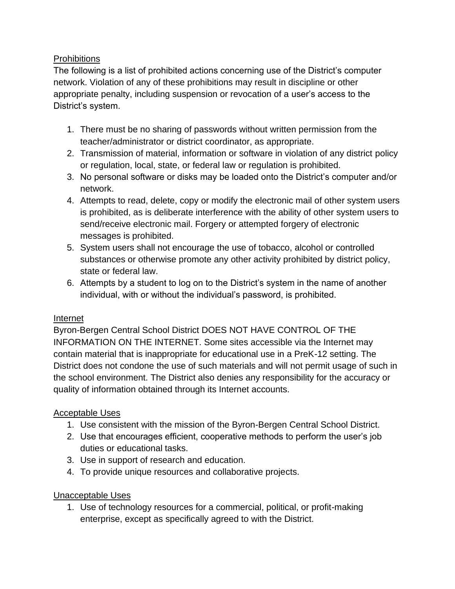#### **Prohibitions**

The following is a list of prohibited actions concerning use of the District's computer network. Violation of any of these prohibitions may result in discipline or other appropriate penalty, including suspension or revocation of a user's access to the District's system.

- 1. There must be no sharing of passwords without written permission from the teacher/administrator or district coordinator, as appropriate.
- 2. Transmission of material, information or software in violation of any district policy or regulation, local, state, or federal law or regulation is prohibited.
- 3. No personal software or disks may be loaded onto the District's computer and/or network.
- 4. Attempts to read, delete, copy or modify the electronic mail of other system users is prohibited, as is deliberate interference with the ability of other system users to send/receive electronic mail. Forgery or attempted forgery of electronic messages is prohibited.
- 5. System users shall not encourage the use of tobacco, alcohol or controlled substances or otherwise promote any other activity prohibited by district policy, state or federal law.
- 6. Attempts by a student to log on to the District's system in the name of another individual, with or without the individual's password, is prohibited.

#### Internet

Byron-Bergen Central School District DOES NOT HAVE CONTROL OF THE INFORMATION ON THE INTERNET. Some sites accessible via the Internet may contain material that is inappropriate for educational use in a PreK-12 setting. The District does not condone the use of such materials and will not permit usage of such in the school environment. The District also denies any responsibility for the accuracy or quality of information obtained through its Internet accounts.

#### Acceptable Uses

- 1. Use consistent with the mission of the Byron-Bergen Central School District.
- 2. Use that encourages efficient, cooperative methods to perform the user's job duties or educational tasks.
- 3. Use in support of research and education.
- 4. To provide unique resources and collaborative projects.

#### Unacceptable Uses

1. Use of technology resources for a commercial, political, or profit-making enterprise, except as specifically agreed to with the District.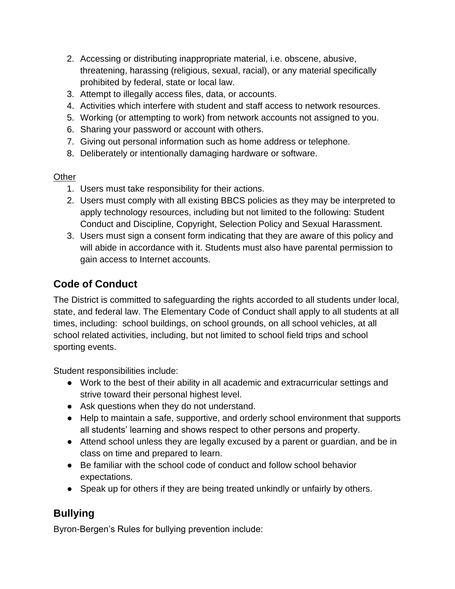- 2. Accessing or distributing inappropriate material, i.e. obscene, abusive, threatening, harassing (religious, sexual, racial), or any material specifically prohibited by federal, state or local law.
- 3. Attempt to illegally access files, data, or accounts.
- 4. Activities which interfere with student and staff access to network resources.
- 5. Working (or attempting to work) from network accounts not assigned to you.
- 6. Sharing your password or account with others.
- 7. Giving out personal information such as home address or telephone.
- 8. Deliberately or intentionally damaging hardware or software.

#### **Other**

- 1. Users must take responsibility for their actions.
- 2. Users must comply with all existing BBCS policies as they may be interpreted to apply technology resources, including but not limited to the following: Student Conduct and Discipline, Copyright, Selection Policy and Sexual Harassment.
- 3. Users must sign a consent form indicating that they are aware of this policy and will abide in accordance with it. Students must also have parental permission to gain access to Internet accounts.

# **Code of Conduct**

The District is committed to safeguarding the rights accorded to all students under local, state, and federal law. The Elementary Code of Conduct shall apply to all students at all times, including: school buildings, on school grounds, on all school vehicles, at all school related activities, including, but not limited to school field trips and school sporting events.

Student responsibilities include:

- Work to the best of their ability in all academic and extracurricular settings and strive toward their personal highest level.
- Ask questions when they do not understand.
- Help to maintain a safe, supportive, and orderly school environment that supports all students' learning and shows respect to other persons and property.
- Attend school unless they are legally excused by a parent or guardian, and be in class on time and prepared to learn.
- Be familiar with the school code of conduct and follow school behavior expectations.
- Speak up for others if they are being treated unkindly or unfairly by others.

# **Bullying**

Byron-Bergen's Rules for bullying prevention include: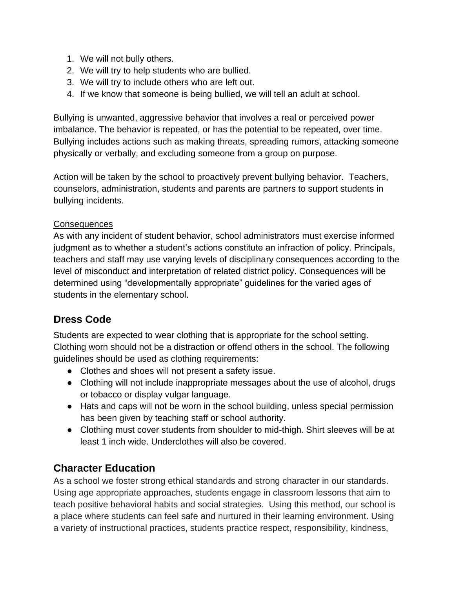- 1. We will not bully others.
- 2. We will try to help students who are bullied.
- 3. We will try to include others who are left out.
- 4. If we know that someone is being bullied, we will tell an adult at school.

Bullying is unwanted, aggressive behavior that involves a real or perceived power imbalance. The behavior is repeated, or has the potential to be repeated, over time. Bullying includes actions such as making threats, spreading rumors, attacking someone physically or verbally, and excluding someone from a group on purpose.

Action will be taken by the school to proactively prevent bullying behavior. Teachers, counselors, administration, students and parents are partners to support students in bullying incidents.

#### **Consequences**

As with any incident of student behavior, school administrators must exercise informed judgment as to whether a student's actions constitute an infraction of policy. Principals, teachers and staff may use varying levels of disciplinary consequences according to the level of misconduct and interpretation of related district policy. Consequences will be determined using "developmentally appropriate" guidelines for the varied ages of students in the elementary school.

# **Dress Code**

Students are expected to wear clothing that is appropriate for the school setting. Clothing worn should not be a distraction or offend others in the school. The following guidelines should be used as clothing requirements:

- Clothes and shoes will not present a safety issue.
- Clothing will not include inappropriate messages about the use of alcohol, drugs or tobacco or display vulgar language.
- Hats and caps will not be worn in the school building, unless special permission has been given by teaching staff or school authority.
- Clothing must cover students from shoulder to mid-thigh. Shirt sleeves will be at least 1 inch wide. Underclothes will also be covered.

# **Character Education**

As a school we foster strong ethical standards and strong character in our standards. Using age appropriate approaches, students engage in classroom lessons that aim to teach positive behavioral habits and social strategies. Using this method, our school is a place where students can feel safe and nurtured in their learning environment. Using a variety of instructional practices, students practice respect, responsibility, kindness,